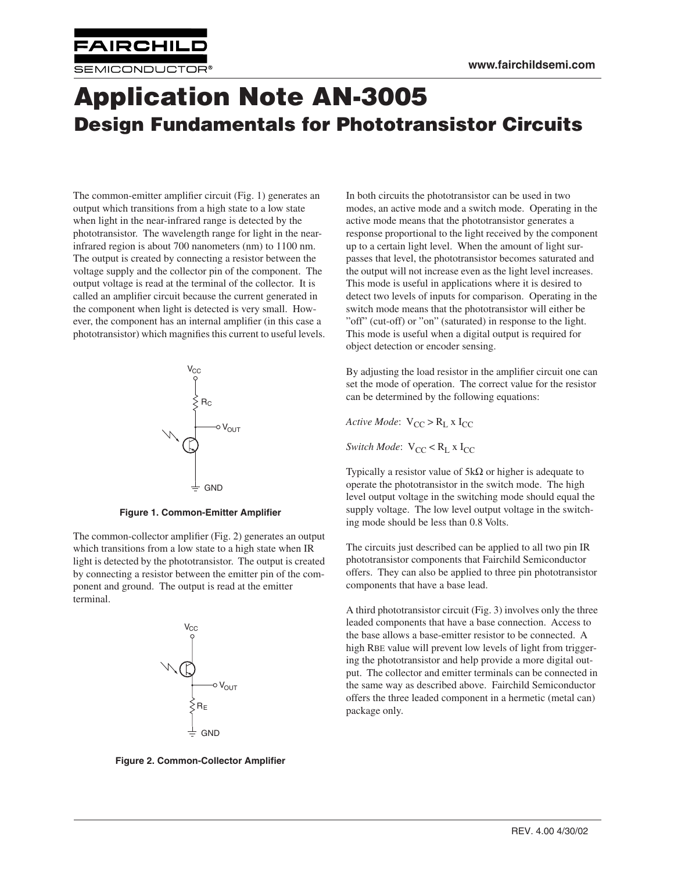

**www.fairchildsemi.com**

## **Application Note AN-3005 Design Fundamentals for Phototransistor Circuits**

The common-emitter amplifier circuit (Fig. 1) generates an output which transitions from a high state to a low state when light in the near-infrared range is detected by the phototransistor. The wavelength range for light in the nearinfrared region is about 700 nanometers (nm) to 1100 nm. The output is created by connecting a resistor between the voltage supply and the collector pin of the component. The output voltage is read at the terminal of the collector. It is called an amplifier circuit because the current generated in the component when light is detected is very small. However, the component has an internal amplifier (in this case a phototransistor) which magnifies this current to useful levels.



**Figure 1. Common-Emitter Amplifier**

The common-collector amplifier (Fig. 2) generates an output which transitions from a low state to a high state when IR light is detected by the phototransistor. The output is created by connecting a resistor between the emitter pin of the component and ground. The output is read at the emitter terminal.



**Figure 2. Common-Collector Amplifier**

In both circuits the phototransistor can be used in two modes, an active mode and a switch mode. Operating in the active mode means that the phototransistor generates a response proportional to the light received by the component up to a certain light level. When the amount of light surpasses that level, the phototransistor becomes saturated and the output will not increase even as the light level increases. This mode is useful in applications where it is desired to detect two levels of inputs for comparison. Operating in the switch mode means that the phototransistor will either be "off" (cut-off) or "on" (saturated) in response to the light. This mode is useful when a digital output is required for object detection or encoder sensing.

By adjusting the load resistor in the amplifier circuit one can set the mode of operation. The correct value for the resistor can be determined by the following equations:

*Active Mode*:  $V_{CC} > R_L x I_{CC}$ 

*Switch Mode*:  $V_{CC} < R_L$  x  $I_{CC}$ 

Typically a resistor value of  $5k\Omega$  or higher is adequate to operate the phototransistor in the switch mode. The high level output voltage in the switching mode should equal the supply voltage. The low level output voltage in the switching mode should be less than 0.8 Volts.

The circuits just described can be applied to all two pin IR phototransistor components that Fairchild Semiconductor offers. They can also be applied to three pin phototransistor components that have a base lead.

A third phototransistor circuit (Fig. 3) involves only the three leaded components that have a base connection. Access to the base allows a base-emitter resistor to be connected. A high RBE value will prevent low levels of light from triggering the phototransistor and help provide a more digital output. The collector and emitter terminals can be connected in the same way as described above. Fairchild Semiconductor offers the three leaded component in a hermetic (metal can) package only.